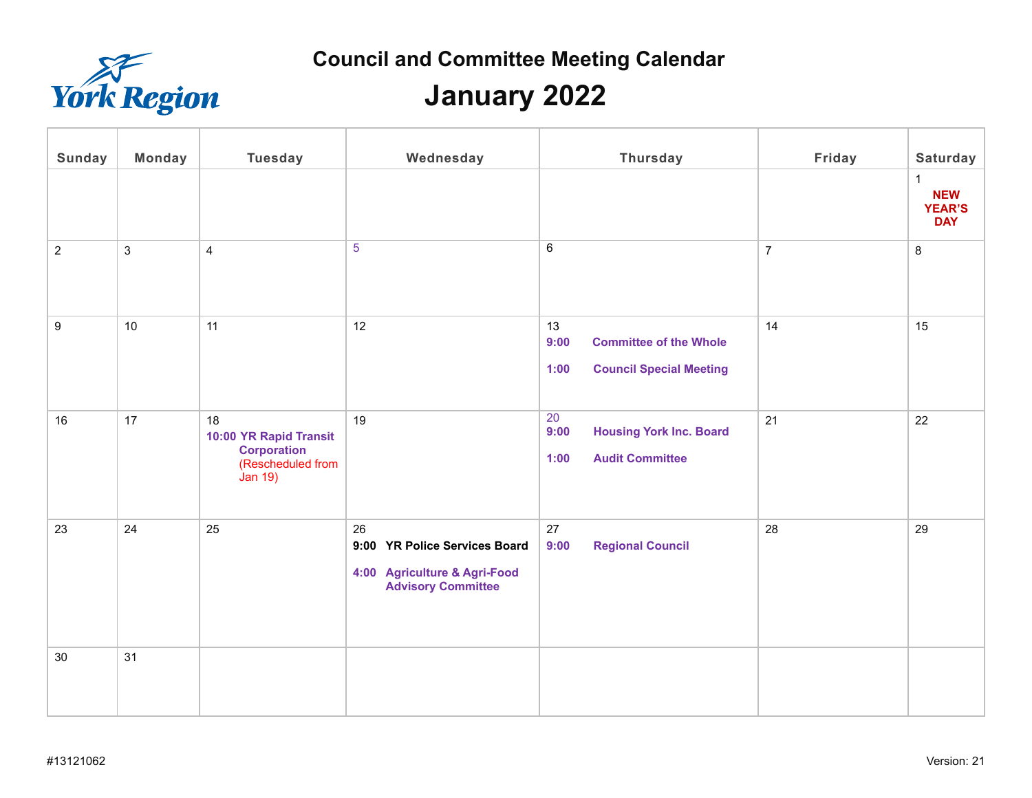

# **January 2022**

| <b>Sunday</b>  | <b>Monday</b> | <b>Tuesday</b>                                                                            | Wednesday                                                                                        | <b>Thursday</b>                                                                       | Friday         | <b>Saturday</b><br>$\mathbf{1}$<br><b>NEW</b><br><b>YEAR'S</b><br><b>DAY</b> |
|----------------|---------------|-------------------------------------------------------------------------------------------|--------------------------------------------------------------------------------------------------|---------------------------------------------------------------------------------------|----------------|------------------------------------------------------------------------------|
| $\overline{2}$ | $\mathbf{3}$  | $\overline{4}$                                                                            | 5                                                                                                | $6\phantom{.}6$                                                                       | $\overline{7}$ | 8                                                                            |
| 9              | 10            | 11                                                                                        | 12                                                                                               | 13<br>9:00<br><b>Committee of the Whole</b><br><b>Council Special Meeting</b><br>1:00 | 14             | 15                                                                           |
| 16             | 17            | 18<br>10:00 YR Rapid Transit<br><b>Corporation</b><br>(Rescheduled from<br><b>Jan 19)</b> | 19                                                                                               | 20<br><b>Housing York Inc. Board</b><br>9:00<br><b>Audit Committee</b><br>1:00        | 21             | 22                                                                           |
| 23             | 24            | 25                                                                                        | 26<br>9:00 YR Police Services Board<br>4:00 Agriculture & Agri-Food<br><b>Advisory Committee</b> | 27<br><b>Regional Council</b><br>9:00                                                 | 28             | 29                                                                           |
| 30             | 31            |                                                                                           |                                                                                                  |                                                                                       |                |                                                                              |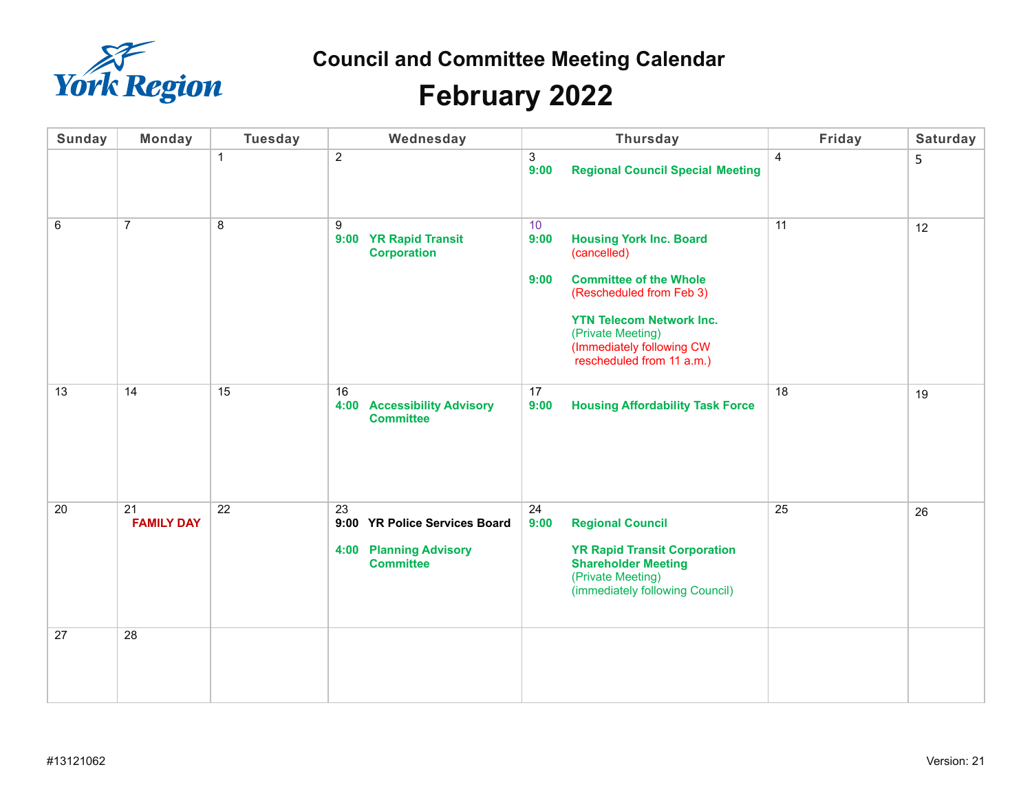

# **February 2022**

| <b>Sunday</b> | <b>Monday</b>           | <b>Tuesday</b> | Wednesday                                                                                |                                 | <b>Thursday</b>                                                                                                                                                                                                              | Friday         | Saturday |
|---------------|-------------------------|----------------|------------------------------------------------------------------------------------------|---------------------------------|------------------------------------------------------------------------------------------------------------------------------------------------------------------------------------------------------------------------------|----------------|----------|
|               |                         | $\mathbf{1}$   | $\overline{2}$                                                                           | 3<br>9:00                       | <b>Regional Council Special Meeting</b>                                                                                                                                                                                      | $\overline{4}$ | 5        |
| 6             | $\overline{7}$          | 8              | 9<br>9:00 YR Rapid Transit<br><b>Corporation</b>                                         | 10 <sup>°</sup><br>9:00<br>9:00 | <b>Housing York Inc. Board</b><br>(cancelled)<br><b>Committee of the Whole</b><br>(Rescheduled from Feb 3)<br><b>YTN Telecom Network Inc.</b><br>(Private Meeting)<br>(Immediately following CW<br>rescheduled from 11 a.m.) | 11             | 12       |
| 13            | 14                      | 15             | 16<br>4:00 Accessibility Advisory<br><b>Committee</b>                                    | 17<br>9:00                      | <b>Housing Affordability Task Force</b>                                                                                                                                                                                      | 18             | 19       |
| 20            | 21<br><b>FAMILY DAY</b> | 22             | 23<br>9:00 YR Police Services Board<br><b>4:00 Planning Advisory</b><br><b>Committee</b> | 24<br>9:00                      | <b>Regional Council</b><br><b>YR Rapid Transit Corporation</b><br><b>Shareholder Meeting</b><br>(Private Meeting)<br>(immediately following Council)                                                                         | 25             | 26       |
| 27            | 28                      |                |                                                                                          |                                 |                                                                                                                                                                                                                              |                |          |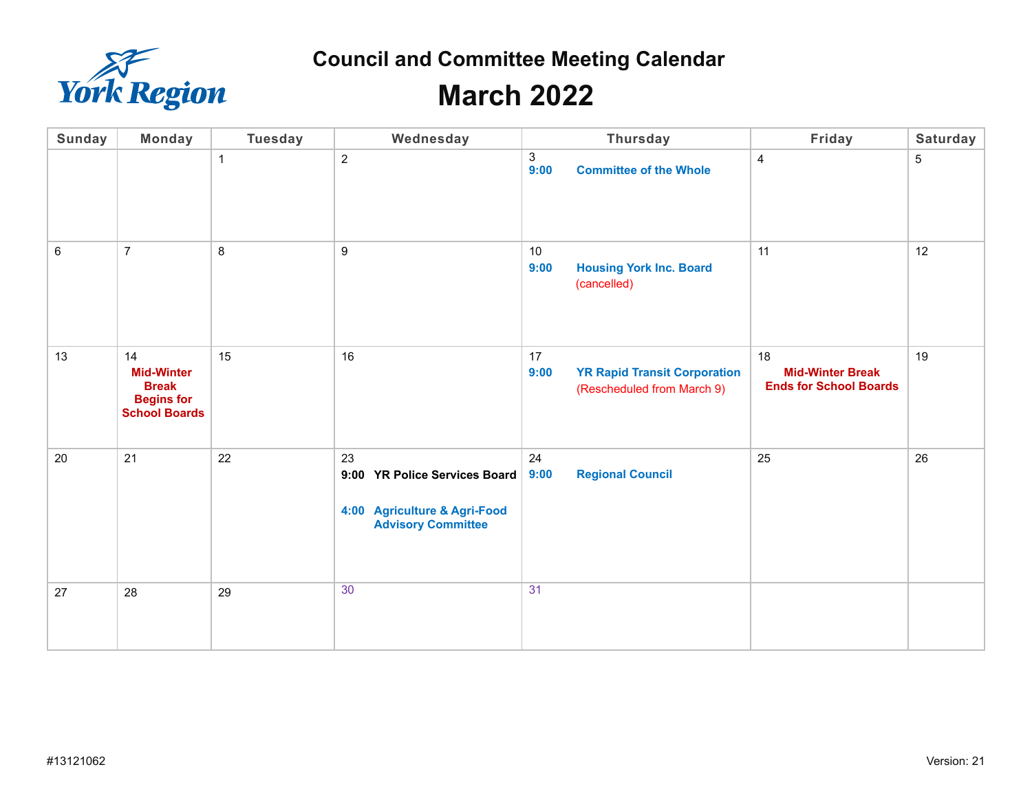

### **March 2022**

| <b>Sunday</b> | <b>Monday</b>                                                                        | <b>Tuesday</b> | Wednesday                                                                                        | Thursday                                                                        | Friday                                                         | Saturday       |
|---------------|--------------------------------------------------------------------------------------|----------------|--------------------------------------------------------------------------------------------------|---------------------------------------------------------------------------------|----------------------------------------------------------------|----------------|
|               |                                                                                      | 1              | $\overline{2}$                                                                                   | $\ensuremath{\mathsf{3}}$<br><b>Committee of the Whole</b><br>9:00              | $\overline{4}$                                                 | $\overline{5}$ |
| $\,6\,$       | $\overline{7}$                                                                       | 8              | 9                                                                                                | 10<br>9:00<br><b>Housing York Inc. Board</b><br>(cancelled)                     | 11                                                             | 12             |
| 13            | 14<br><b>Mid-Winter</b><br><b>Break</b><br><b>Begins for</b><br><b>School Boards</b> | 15             | 16                                                                                               | 17<br><b>YR Rapid Transit Corporation</b><br>9:00<br>(Rescheduled from March 9) | 18<br><b>Mid-Winter Break</b><br><b>Ends for School Boards</b> | 19             |
| 20            | 21                                                                                   | 22             | 23<br>9:00 YR Police Services Board<br>4:00 Agriculture & Agri-Food<br><b>Advisory Committee</b> | 24<br><b>Regional Council</b><br>9:00                                           | 25                                                             | 26             |
| 27            | 28                                                                                   | 29             | 30                                                                                               | 31                                                                              |                                                                |                |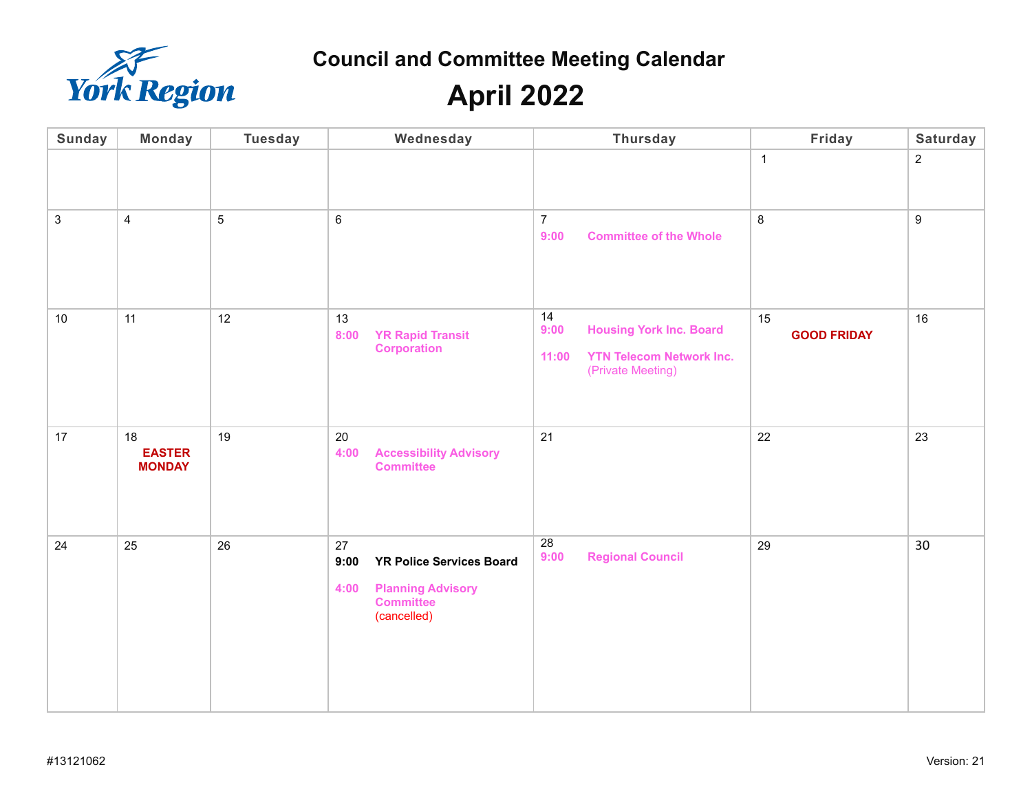

**April 2022**

| <b>Sunday</b>  | <b>Monday</b>                        | <b>Tuesday</b> | Wednesday                                                                                                            | <b>Thursday</b>                                                                                               | Friday                   | Saturday         |
|----------------|--------------------------------------|----------------|----------------------------------------------------------------------------------------------------------------------|---------------------------------------------------------------------------------------------------------------|--------------------------|------------------|
|                |                                      |                |                                                                                                                      |                                                                                                               | $\mathbf{1}$             | $\sqrt{2}$       |
| $\mathfrak{S}$ | $\overline{4}$                       | 5              | $\,6\,$                                                                                                              | $\overline{7}$<br><b>Committee of the Whole</b><br>9:00                                                       | 8                        | $\boldsymbol{9}$ |
| 10             | 11                                   | 12             | 13<br><b>YR Rapid Transit</b><br>8:00<br><b>Corporation</b>                                                          | 14<br><b>Housing York Inc. Board</b><br>9:00<br><b>YTN Telecom Network Inc.</b><br>11:00<br>(Private Meeting) | 15<br><b>GOOD FRIDAY</b> | 16               |
| $17$           | 18<br><b>EASTER</b><br><b>MONDAY</b> | 19             | 20<br><b>Accessibility Advisory</b><br>4:00<br><b>Committee</b>                                                      | 21                                                                                                            | 22                       | 23               |
| 24             | 25                                   | 26             | 27<br>9:00<br><b>YR Police Services Board</b><br><b>Planning Advisory</b><br>4:00<br><b>Committee</b><br>(cancelled) | 28<br><b>Regional Council</b><br>9:00                                                                         | 29                       | 30               |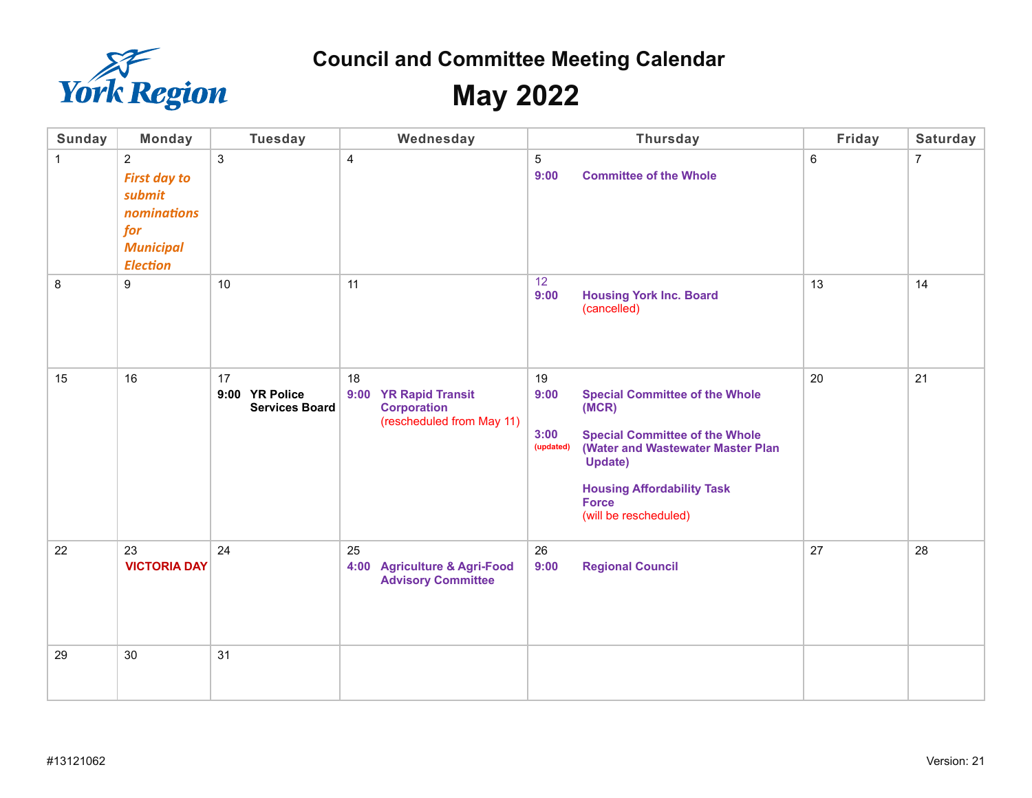

**May 2022** 

| <b>Sunday</b> | <b>Monday</b>                                                                                                | <b>Tuesday</b>                                | Wednesday                                                                                | <b>Thursday</b>                                                                                                                                                                                                                                                 | Friday         | Saturday       |
|---------------|--------------------------------------------------------------------------------------------------------------|-----------------------------------------------|------------------------------------------------------------------------------------------|-----------------------------------------------------------------------------------------------------------------------------------------------------------------------------------------------------------------------------------------------------------------|----------------|----------------|
| $\mathbf{1}$  | $\overline{2}$<br><b>First day to</b><br>submit<br>nominations<br>for<br><b>Municipal</b><br><b>Election</b> | 3                                             | 4                                                                                        | 5<br>9:00<br><b>Committee of the Whole</b>                                                                                                                                                                                                                      | $6\phantom{a}$ | $\overline{7}$ |
| $\,8\,$       | $\boldsymbol{9}$                                                                                             | 10                                            | 11                                                                                       | 12<br>9:00<br><b>Housing York Inc. Board</b><br>(cancelled)                                                                                                                                                                                                     | 13             | 14             |
| 15            | 16                                                                                                           | 17<br>9:00 YR Police<br><b>Services Board</b> | 18<br>9:00<br><b>YR Rapid Transit</b><br><b>Corporation</b><br>(rescheduled from May 11) | 19<br>9:00<br><b>Special Committee of the Whole</b><br>(MCR)<br><b>Special Committee of the Whole</b><br>3:00<br>(Water and Wastewater Master Plan<br>(updated)<br><b>Update)</b><br><b>Housing Affordability Task</b><br><b>Force</b><br>(will be rescheduled) | 20             | 21             |
| 22            | 23<br><b>VICTORIA DAY</b>                                                                                    | 24                                            | 25<br>4:00 Agriculture & Agri-Food<br><b>Advisory Committee</b>                          | 26<br>9:00<br><b>Regional Council</b>                                                                                                                                                                                                                           | 27             | 28             |
| 29            | 30                                                                                                           | 31                                            |                                                                                          |                                                                                                                                                                                                                                                                 |                |                |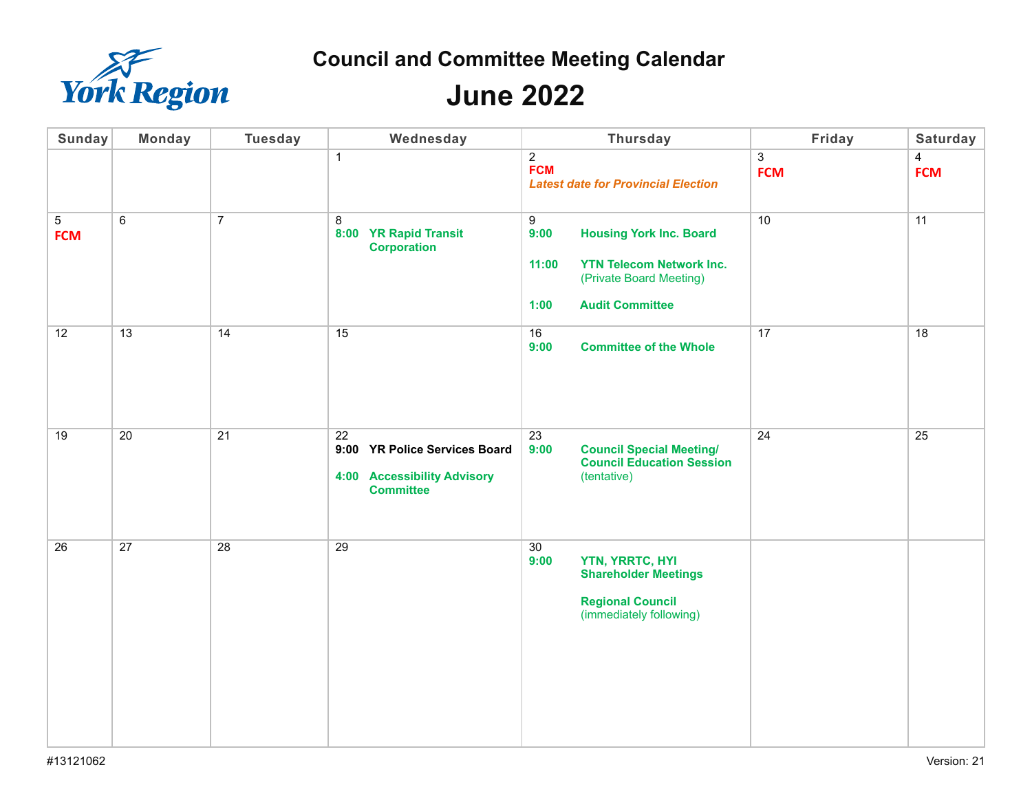

## **June 2022**

| <b>Sunday</b>                | <b>Monday</b> | <b>Tuesday</b> | Wednesday                                                                                           | <b>Thursday</b>                                                                                                                                      | Friday                       | Saturday                     |
|------------------------------|---------------|----------------|-----------------------------------------------------------------------------------------------------|------------------------------------------------------------------------------------------------------------------------------------------------------|------------------------------|------------------------------|
|                              |               |                | $\mathbf{1}$                                                                                        | $\overline{2}$<br><b>FCM</b><br><b>Latest date for Provincial Election</b>                                                                           | $\mathfrak{S}$<br><b>FCM</b> | $\overline{4}$<br><b>FCM</b> |
| $\overline{5}$<br><b>FCM</b> | 6             | $\overline{7}$ | 8<br>8:00 YR Rapid Transit<br><b>Corporation</b>                                                    | 9<br>9:00<br><b>Housing York Inc. Board</b><br><b>YTN Telecom Network Inc.</b><br>11:00<br>(Private Board Meeting)<br><b>Audit Committee</b><br>1:00 | 10                           | 11                           |
| 12                           | 13            | 14             | 15                                                                                                  | 16<br>9:00<br><b>Committee of the Whole</b>                                                                                                          | 17                           | 18                           |
| 19                           | 20            | 21             | $\overline{22}$<br>9:00 YR Police Services Board<br>4:00 Accessibility Advisory<br><b>Committee</b> | 23<br>9:00<br><b>Council Special Meeting/</b><br><b>Council Education Session</b><br>(tentative)                                                     | 24                           | 25                           |
| 26                           | 27            | 28             | 29                                                                                                  | 30 <sup>°</sup><br>YTN, YRRTC, HYI<br>9:00<br><b>Shareholder Meetings</b><br><b>Regional Council</b><br>(immediately following)                      |                              |                              |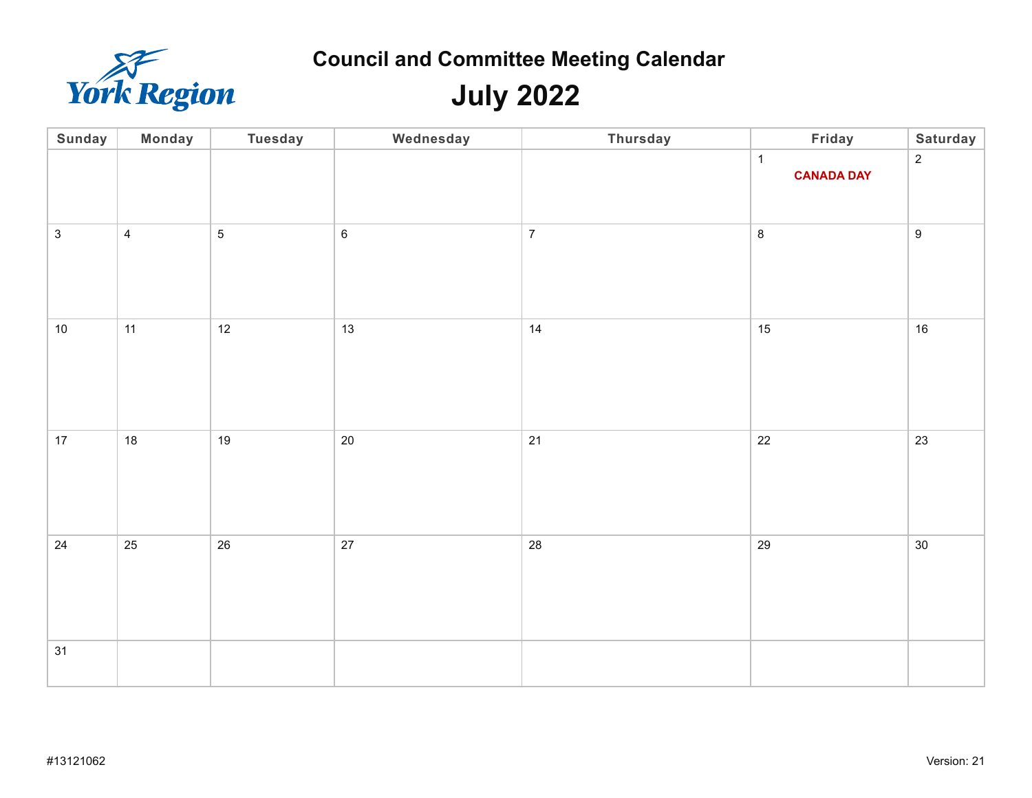

**July 2022**

| Sunday       | <b>Monday</b>  | <b>Tuesday</b>  | Wednesday   | Thursday       | Friday                            | Saturday       |
|--------------|----------------|-----------------|-------------|----------------|-----------------------------------|----------------|
|              |                |                 |             |                | $\mathbf{1}$<br><b>CANADA DAY</b> | $\overline{2}$ |
| $\mathbf{3}$ | $\overline{4}$ | $5\overline{)}$ | $\,6\,$     | $\overline{7}$ | $\bf 8$                           | $9\,$          |
| $10\,$       | 11             | 12              | 13          | 14             | 15                                | $16\,$         |
| 17           | $18$           | 19              | $20\degree$ | 21             | 22                                | 23             |
| 24           | 25             | 26              | 27          | 28             | 29                                | $30\,$         |
| 31           |                |                 |             |                |                                   |                |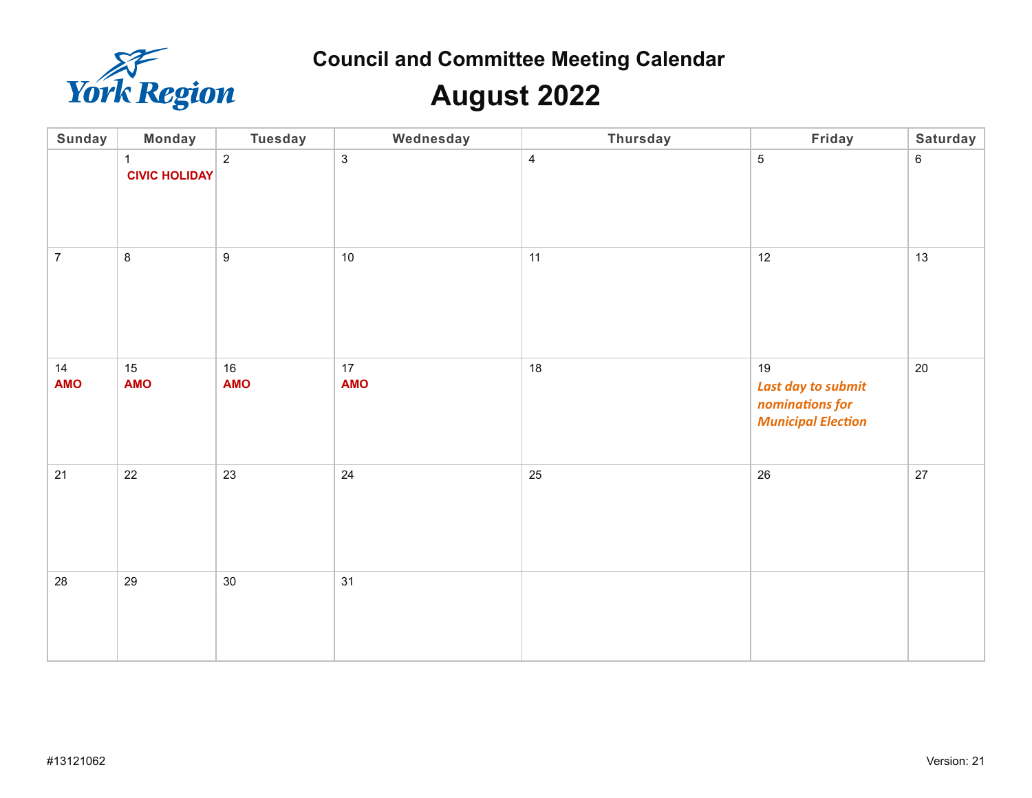

## **August 2022**

| Sunday           | <b>Monday</b>                        | <b>Tuesday</b>   | Wednesday        | Thursday       | Friday                                                                   | Saturday       |
|------------------|--------------------------------------|------------------|------------------|----------------|--------------------------------------------------------------------------|----------------|
|                  | $\mathbf{1}$<br><b>CIVIC HOLIDAY</b> | $\overline{2}$   | $\mathfrak{S}$   | $\overline{4}$ | $\overline{5}$                                                           | $6\phantom{1}$ |
| $\overline{7}$   | $\,8\,$                              | $\boldsymbol{9}$ | 10               | 11             | 12                                                                       | 13             |
| 14<br><b>AMO</b> | 15<br><b>AMO</b>                     | 16<br><b>AMO</b> | 17<br><b>AMO</b> | $18$           | 19<br>Last day to submit<br>nominations for<br><b>Municipal Election</b> | 20             |
| 21               | 22                                   | 23               | $24\,$           | 25             | 26                                                                       | 27             |
| 28               | 29                                   | $30\,$           | 31               |                |                                                                          |                |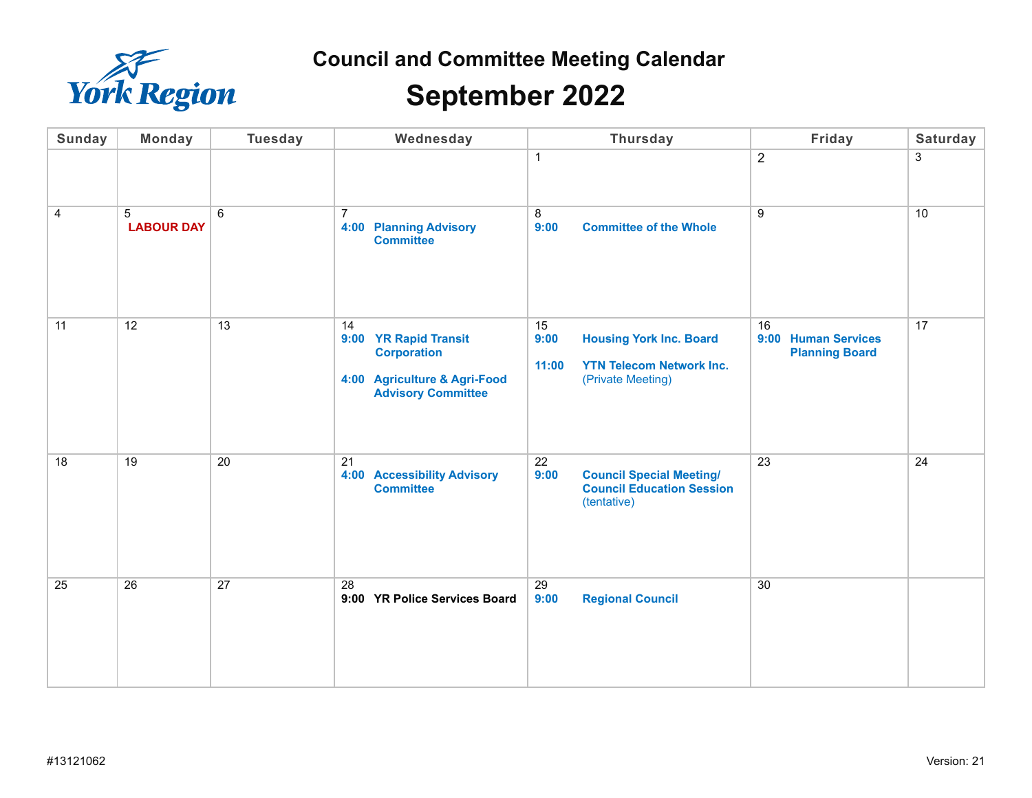

### **September 2022**

| <b>Sunday</b>  | <b>Monday</b>          | <b>Tuesday</b> | Wednesday                                                                                                      | <b>Thursday</b>                                                                                               | Friday                                             | Saturday |
|----------------|------------------------|----------------|----------------------------------------------------------------------------------------------------------------|---------------------------------------------------------------------------------------------------------------|----------------------------------------------------|----------|
|                |                        |                |                                                                                                                | $\mathbf{1}$                                                                                                  | $\overline{2}$                                     | 3        |
| $\overline{4}$ | 5<br><b>LABOUR DAY</b> | 6              | $\overline{7}$<br><b>4:00 Planning Advisory</b><br><b>Committee</b>                                            | 8<br>9:00<br><b>Committee of the Whole</b>                                                                    | 9                                                  | 10       |
| 11             | 12                     | 13             | 14<br>9:00 YR Rapid Transit<br><b>Corporation</b><br>4:00 Agriculture & Agri-Food<br><b>Advisory Committee</b> | 15<br><b>Housing York Inc. Board</b><br>9:00<br><b>YTN Telecom Network Inc.</b><br>11:00<br>(Private Meeting) | 16<br>9:00 Human Services<br><b>Planning Board</b> | 17       |
| 18             | 19                     | 20             | 21<br><b>4:00 Accessibility Advisory</b><br><b>Committee</b>                                                   | 22<br>9:00<br><b>Council Special Meeting/</b><br><b>Council Education Session</b><br>(tentative)              | 23                                                 | 24       |
| 25             | $\overline{26}$        | 27             | 28<br>9:00 YR Police Services Board                                                                            | 29<br><b>Regional Council</b><br>9:00                                                                         | 30                                                 |          |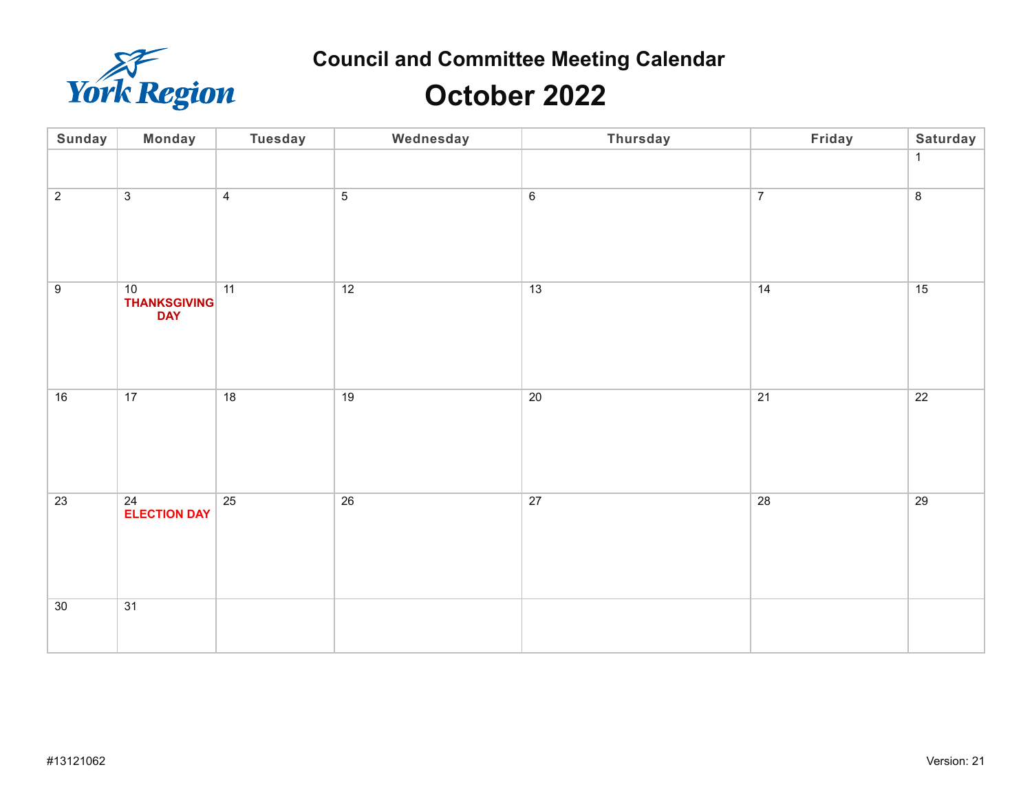

### **October 2022**

| Sunday         | Monday                                  | <b>Tuesday</b> | Wednesday      | Thursday        | Friday         | Saturday        |
|----------------|-----------------------------------------|----------------|----------------|-----------------|----------------|-----------------|
|                |                                         |                |                |                 |                | $\mathbf{1}$    |
| $\overline{2}$ | $\overline{3}$                          | $\overline{4}$ | $\overline{5}$ | $6\phantom{1}6$ | $\overline{7}$ | $\overline{8}$  |
| $\overline{9}$ | 10<br><b>THANKSGIVING</b><br><b>DAY</b> | 11             | 12             | 13              | 14             | 15              |
| 16             | 17                                      | 18             | 19             | 20              | 21             | $\overline{22}$ |
| 23             | 24<br><b>ELECTION DAY</b>               | 25             | 26             | 27              | 28             | 29              |
| 30             | 31                                      |                |                |                 |                |                 |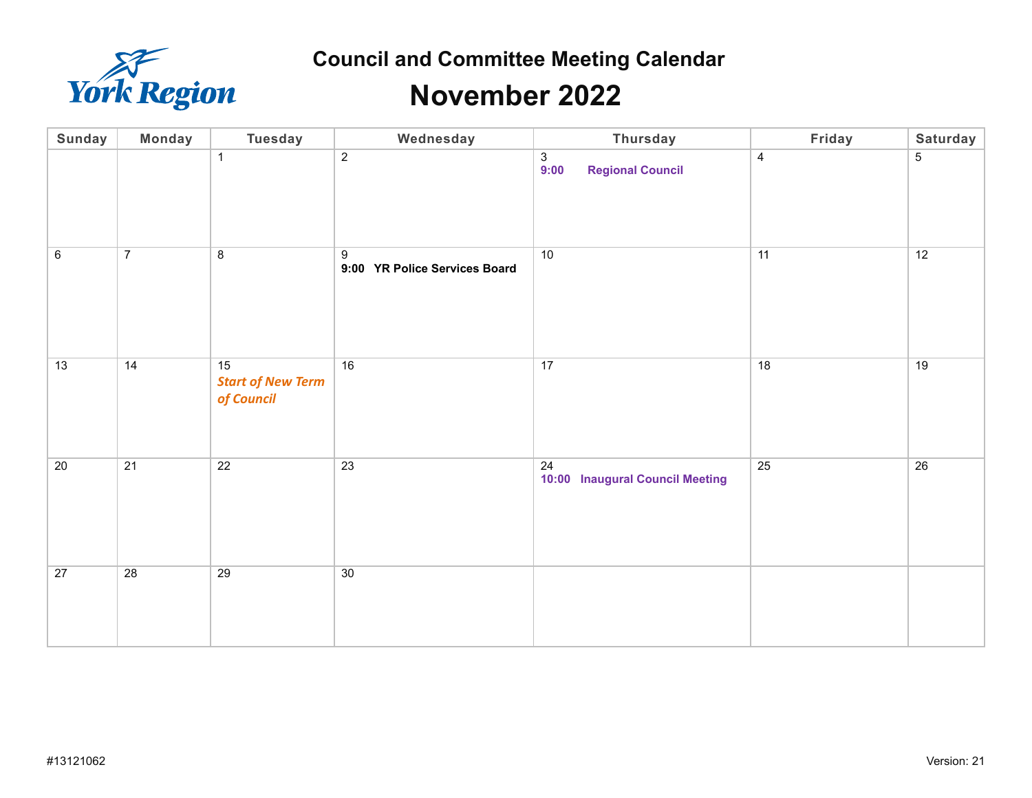

### **November 2022**

| Sunday          | <b>Monday</b>   | <b>Tuesday</b>                               | Wednesday                              | Thursday                                                            | Friday          | Saturday        |
|-----------------|-----------------|----------------------------------------------|----------------------------------------|---------------------------------------------------------------------|-----------------|-----------------|
|                 |                 | $\mathbf{1}$                                 | $\overline{2}$                         | $\begin{array}{c} 3 \\ 9:00 \end{array}$<br><b>Regional Council</b> | $\overline{4}$  | 5               |
| $6\overline{6}$ | $\overline{7}$  | $\overline{8}$                               | $9\,$<br>9:00 YR Police Services Board | 10                                                                  | $\overline{11}$ | $\overline{12}$ |
| 13              | 14              | 15<br><b>Start of New Term</b><br>of Council | $\overline{16}$                        | 17                                                                  | 18              | 19              |
| 20              | 21              | 22                                           | $\overline{23}$                        | 24<br>10:00 Inaugural Council Meeting                               | 25              | 26              |
| $\overline{27}$ | $\overline{28}$ | $\overline{29}$                              | 30                                     |                                                                     |                 |                 |